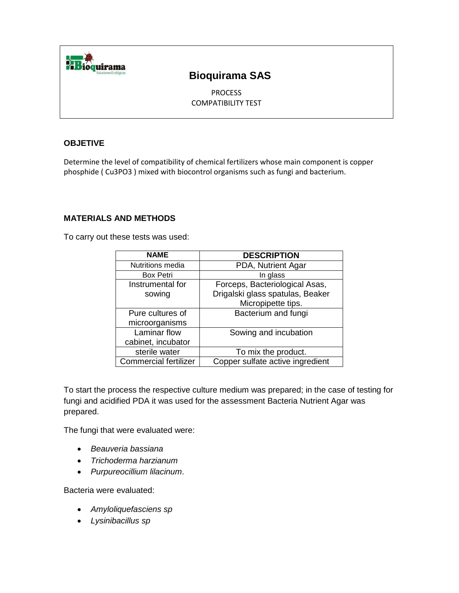

## **Bioquirama SAS**

PROCESS COMPATIBILITY TEST

### **OBJETIVE**

Determine the level of compatibility of chemical fertilizers whose main component is copper phosphide ( Cu3PO3 ) mixed with biocontrol organisms such as fungi and bacterium.

### **MATERIALS AND METHODS**

To carry out these tests was used:

| <b>NAME</b>                  | <b>DESCRIPTION</b>               |
|------------------------------|----------------------------------|
| Nutritions media             | PDA, Nutrient Agar               |
| <b>Box Petri</b>             | In glass                         |
| Instrumental for             | Forceps, Bacteriological Asas,   |
| sowing                       | Drigalski glass spatulas, Beaker |
|                              | Micropipette tips.               |
| Pure cultures of             | Bacterium and fungi              |
| microorganisms               |                                  |
| Laminar flow                 | Sowing and incubation            |
| cabinet, incubator           |                                  |
| sterile water                | To mix the product.              |
| <b>Commercial fertilizer</b> | Copper sulfate active ingredient |

To start the process the respective culture medium was prepared; in the case of testing for fungi and acidified PDA it was used for the assessment Bacteria Nutrient Agar was prepared.

The fungi that were evaluated were:

- *Beauveria bassiana*
- *Trichoderma harzianum*
- *Purpureocillium lilacinum*.

Bacteria were evaluated:

- *Amyloliquefasciens sp*
- *Lysinibacillus sp*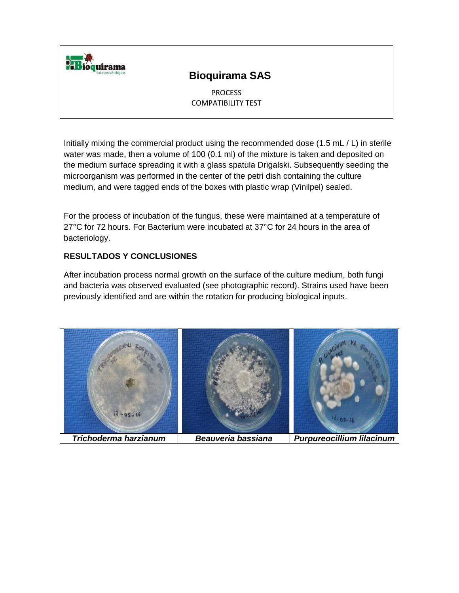

## **Bioquirama SAS**

**PROCESS** COMPATIBILITY TEST

Initially mixing the commercial product using the recommended dose (1.5 mL / L) in sterile water was made, then a volume of 100 (0.1 ml) of the mixture is taken and deposited on the medium surface spreading it with a glass spatula Drigalski. Subsequently seeding the microorganism was performed in the center of the petri dish containing the culture medium, and were tagged ends of the boxes with plastic wrap (Vinilpel) sealed.

For the process of incubation of the fungus, these were maintained at a temperature of 27°C for 72 hours. For Bacterium were incubated at 37°C for 24 hours in the area of bacteriology.

### **RESULTADOS Y CONCLUSIONES**

After incubation process normal growth on the surface of the culture medium, both fungi and bacteria was observed evaluated (see photographic record). Strains used have been previously identified and are within the rotation for producing biological inputs.